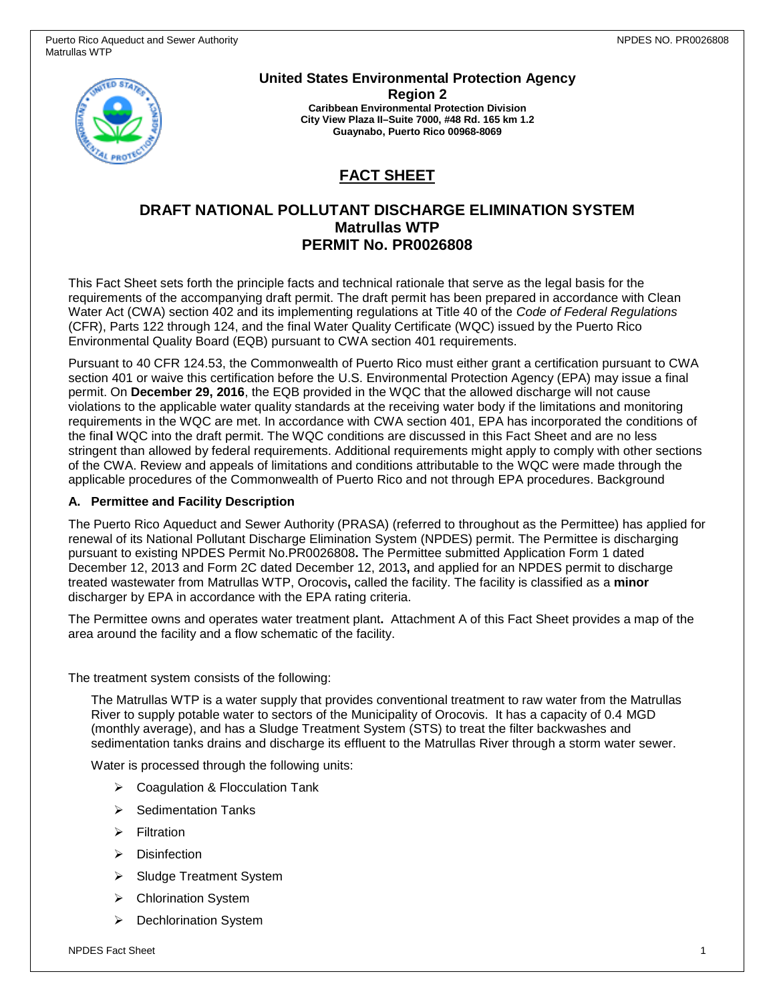

**United States Environmental Protection Agency** 

**Region 2 Caribbean Environmental Protection Division City View Plaza II–Suite 7000, #48 Rd. 165 km 1.2 Guaynabo, Puerto Rico 00968-8069**

# **FACT SHEET**

# **DRAFT NATIONAL POLLUTANT DISCHARGE ELIMINATION SYSTEM Matrullas WTP PERMIT No. PR0026808**

This Fact Sheet sets forth the principle facts and technical rationale that serve as the legal basis for the requirements of the accompanying draft permit. The draft permit has been prepared in accordance with Clean Water Act (CWA) section 402 and its implementing regulations at Title 40 of the *Code of Federal Regulations* (CFR), Parts 122 through 124, and the final Water Quality Certificate (WQC) issued by the Puerto Rico Environmental Quality Board (EQB) pursuant to CWA section 401 requirements.

Pursuant to 40 CFR 124.53, the Commonwealth of Puerto Rico must either grant a certification pursuant to CWA section 401 or waive this certification before the U.S. Environmental Protection Agency (EPA) may issue a final permit. On **December 29, 2016**, the EQB provided in the WQC that the allowed discharge will not cause violations to the applicable water quality standards at the receiving water body if the limitations and monitoring requirements in the WQC are met. In accordance with CWA section 401, EPA has incorporated the conditions of the fina**l** WQC into the draft permit. The WQC conditions are discussed in this Fact Sheet and are no less stringent than allowed by federal requirements. Additional requirements might apply to comply with other sections of the CWA. Review and appeals of limitations and conditions attributable to the WQC were made through the applicable procedures of the Commonwealth of Puerto Rico and not through EPA procedures. Background

### **A. Permittee and Facility Description**

The Puerto Rico Aqueduct and Sewer Authority (PRASA) (referred to throughout as the Permittee) has applied for renewal of its National Pollutant Discharge Elimination System (NPDES) permit. The Permittee is discharging pursuant to existing NPDES Permit No.PR0026808**.** The Permittee submitted Application Form 1 dated December 12, 2013 and Form 2C dated December 12, 2013**,** and applied for an NPDES permit to discharge treated wastewater from Matrullas WTP, Orocovis**,** called the facility. The facility is classified as a **minor** discharger by EPA in accordance with the EPA rating criteria.

The Permittee owns and operates water treatment plant**.** Attachment A of this Fact Sheet provides a map of the area around the facility and a flow schematic of the facility.

The treatment system consists of the following:

The Matrullas WTP is a water supply that provides conventional treatment to raw water from the Matrullas River to supply potable water to sectors of the Municipality of Orocovis. It has a capacity of 0.4 MGD (monthly average), and has a Sludge Treatment System (STS) to treat the filter backwashes and sedimentation tanks drains and discharge its effluent to the Matrullas River through a storm water sewer.

Water is processed through the following units:

- $\triangleright$  Coagulation & Flocculation Tank
- $\triangleright$  Sedimentation Tanks
- $\triangleright$  Filtration
- $\triangleright$  Disinfection
- Sludge Treatment System
- Chlorination System
- **▶** Dechlorination System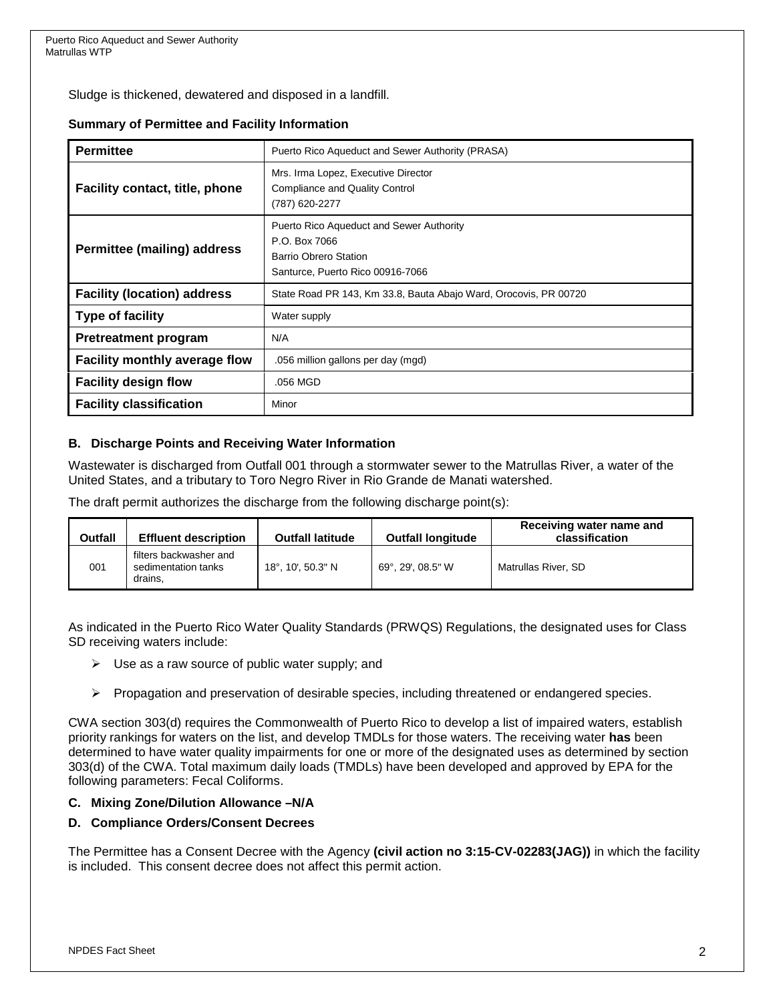Sludge is thickened, dewatered and disposed in a landfill.

#### **Summary of Permittee and Facility Information**

| <b>Permittee</b>                   | Puerto Rico Aqueduct and Sewer Authority (PRASA)                                                                              |  |  |  |  |
|------------------------------------|-------------------------------------------------------------------------------------------------------------------------------|--|--|--|--|
| Facility contact, title, phone     | Mrs. Irma Lopez, Executive Director<br><b>Compliance and Quality Control</b><br>(787) 620-2277                                |  |  |  |  |
| <b>Permittee (mailing) address</b> | Puerto Rico Aqueduct and Sewer Authority<br>P.O. Box 7066<br><b>Barrio Obrero Station</b><br>Santurce, Puerto Rico 00916-7066 |  |  |  |  |
| <b>Facility (location) address</b> | State Road PR 143, Km 33.8, Bauta Abajo Ward, Orocovis, PR 00720                                                              |  |  |  |  |
| <b>Type of facility</b>            | Water supply                                                                                                                  |  |  |  |  |
| <b>Pretreatment program</b>        | N/A                                                                                                                           |  |  |  |  |
| Facility monthly average flow      | .056 million gallons per day (mgd)                                                                                            |  |  |  |  |
| <b>Facility design flow</b>        | .056 MGD                                                                                                                      |  |  |  |  |
| <b>Facility classification</b>     | Minor                                                                                                                         |  |  |  |  |

#### **B. Discharge Points and Receiving Water Information**

Wastewater is discharged from Outfall 001 through a stormwater sewer to the Matrullas River, a water of the United States, and a tributary to Toro Negro River in Rio Grande de Manati watershed.

The draft permit authorizes the discharge from the following discharge point(s):

| Outfall | <b>Effluent description</b>                              | <b>Outfall latitude</b> | <b>Outfall longitude</b> | Receiving water name and<br>classification |
|---------|----------------------------------------------------------|-------------------------|--------------------------|--------------------------------------------|
| 001     | filters backwasher and<br>sedimentation tanks<br>drains. | 18°, 10', 50.3" N       | 69°, 29', 08.5" W        | Matrullas River, SD                        |

As indicated in the Puerto Rico Water Quality Standards (PRWQS) Regulations, the designated uses for Class SD receiving waters include:

- $\triangleright$  Use as a raw source of public water supply; and
- $\triangleright$  Propagation and preservation of desirable species, including threatened or endangered species.

CWA section 303(d) requires the Commonwealth of Puerto Rico to develop a list of impaired waters, establish priority rankings for waters on the list, and develop TMDLs for those waters. The receiving water **has** been determined to have water quality impairments for one or more of the designated uses as determined by section 303(d) of the CWA. Total maximum daily loads (TMDLs) have been developed and approved by EPA for the following parameters: Fecal Coliforms.

#### **C. Mixing Zone/Dilution Allowance –N/A**

#### **D. Compliance Orders/Consent Decrees**

The Permittee has a Consent Decree with the Agency **(civil action no 3:15-CV-02283(JAG))** in which the facility is included. This consent decree does not affect this permit action.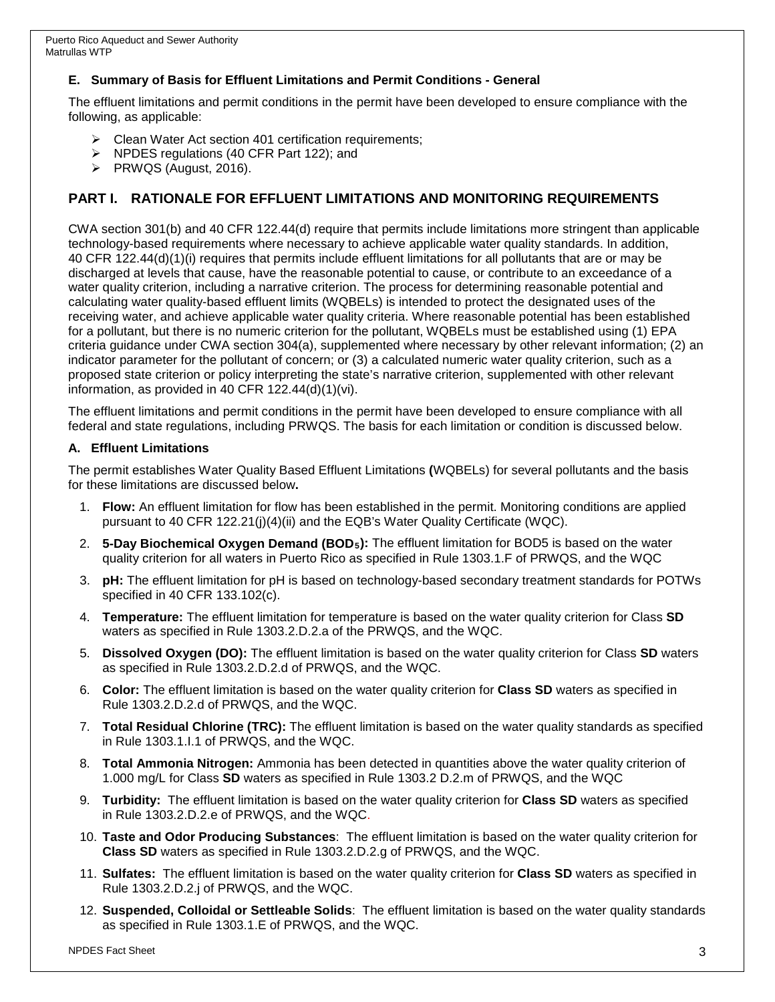### **E. Summary of Basis for Effluent Limitations and Permit Conditions - General**

The effluent limitations and permit conditions in the permit have been developed to ensure compliance with the following, as applicable:

- ▶ Clean Water Act section 401 certification requirements;
- NPDES regulations (40 CFR Part 122); and
- $\triangleright$  PRWQS (August, 2016).

# **PART I. RATIONALE FOR EFFLUENT LIMITATIONS AND MONITORING REQUIREMENTS**

CWA section 301(b) and 40 CFR 122.44(d) require that permits include limitations more stringent than applicable technology-based requirements where necessary to achieve applicable water quality standards. In addition, 40 CFR 122.44(d)(1)(i) requires that permits include effluent limitations for all pollutants that are or may be discharged at levels that cause, have the reasonable potential to cause, or contribute to an exceedance of a water quality criterion, including a narrative criterion. The process for determining reasonable potential and calculating water quality-based effluent limits (WQBELs) is intended to protect the designated uses of the receiving water, and achieve applicable water quality criteria. Where reasonable potential has been established for a pollutant, but there is no numeric criterion for the pollutant, WQBELs must be established using (1) EPA criteria guidance under CWA section 304(a), supplemented where necessary by other relevant information; (2) an indicator parameter for the pollutant of concern; or (3) a calculated numeric water quality criterion, such as a proposed state criterion or policy interpreting the state's narrative criterion, supplemented with other relevant information, as provided in 40 CFR 122.44(d)(1)(vi).

The effluent limitations and permit conditions in the permit have been developed to ensure compliance with all federal and state regulations, including PRWQS. The basis for each limitation or condition is discussed below.

#### **A. Effluent Limitations**

The permit establishes Water Quality Based Effluent Limitations **(**WQBELs) for several pollutants and the basis for these limitations are discussed below**.** 

- 1. **Flow:** An effluent limitation for flow has been established in the permit. Monitoring conditions are applied pursuant to 40 CFR 122.21(j)(4)(ii) and the EQB's Water Quality Certificate (WQC).
- 2. **5-Day Biochemical Oxygen Demand (BOD5):** The effluent limitation for BOD5 is based on the water quality criterion for all waters in Puerto Rico as specified in Rule 1303.1.F of PRWQS, and the WQC
- 3. **pH:** The effluent limitation for pH is based on technology-based secondary treatment standards for POTWs specified in 40 CFR 133.102(c).
- 4. **Temperature:** The effluent limitation for temperature is based on the water quality criterion for Class **SD** waters as specified in Rule 1303.2.D.2.a of the PRWQS, and the WQC.
- 5. **Dissolved Oxygen (DO):** The effluent limitation is based on the water quality criterion for Class **SD** waters as specified in Rule 1303.2.D.2.d of PRWQS, and the WQC.
- 6. **Color:** The effluent limitation is based on the water quality criterion for **Class SD** waters as specified in Rule 1303.2.D.2.d of PRWQS, and the WQC.
- 7. **Total Residual Chlorine (TRC):** The effluent limitation is based on the water quality standards as specified in Rule 1303.1.I.1 of PRWQS, and the WQC.
- 8. **Total Ammonia Nitrogen:** Ammonia has been detected in quantities above the water quality criterion of 1.000 mg/L for Class **SD** waters as specified in Rule 1303.2 D.2.m of PRWQS, and the WQC
- 9. **Turbidity:** The effluent limitation is based on the water quality criterion for **Class SD** waters as specified in Rule 1303.2.D.2.e of PRWQS, and the WQC.
- 10. **Taste and Odor Producing Substances**: The effluent limitation is based on the water quality criterion for **Class SD** waters as specified in Rule 1303.2.D.2.g of PRWQS, and the WQC.
- 11. **Sulfates:** The effluent limitation is based on the water quality criterion for **Class SD** waters as specified in Rule 1303.2.D.2.j of PRWQS, and the WQC.
- 12. **Suspended, Colloidal or Settleable Solids**: The effluent limitation is based on the water quality standards as specified in Rule 1303.1.E of PRWQS, and the WQC.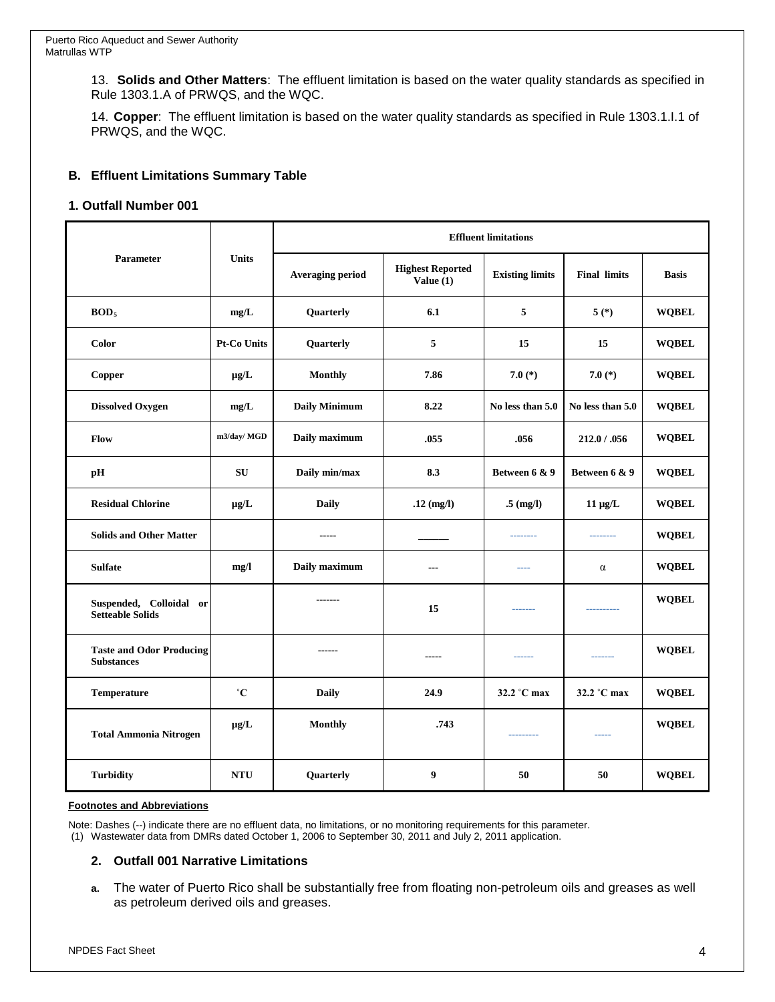13. **Solids and Other Matters**: The effluent limitation is based on the water quality standards as specified in Rule 1303.1.A of PRWQS, and the WQC.

14. **Copper**: The effluent limitation is based on the water quality standards as specified in Rule 1303.1.I.1 of PRWQS, and the WQC.

#### **B. Effluent Limitations Summary Table**

#### **1. Outfall Number 001**

| Parameter                                            | <b>Units</b>       | <b>Effluent limitations</b> |                                        |                        |                     |              |  |
|------------------------------------------------------|--------------------|-----------------------------|----------------------------------------|------------------------|---------------------|--------------|--|
|                                                      |                    | <b>Averaging period</b>     | <b>Highest Reported</b><br>Value $(1)$ | <b>Existing limits</b> | <b>Final limits</b> | <b>Basis</b> |  |
| BOD <sub>5</sub>                                     | mg/L               | Quarterly                   | 6.1                                    | 5                      | $5(*)$              | <b>WQBEL</b> |  |
| Color                                                | <b>Pt-Co Units</b> | Quarterly                   | 5                                      | 15                     | 15                  | <b>WQBEL</b> |  |
| <b>Copper</b>                                        | $\mu$ g/L          | <b>Monthly</b>              | 7.86                                   | 7.0 $(*)$              | 7.0 $(*)$           | <b>WQBEL</b> |  |
| <b>Dissolved Oxygen</b>                              | mg/L               | <b>Daily Minimum</b>        | 8.22                                   | No less than 5.0       | No less than 5.0    | <b>WQBEL</b> |  |
| <b>Flow</b>                                          | m3/day/ MGD        | Daily maximum               | .055                                   | .056                   | 212.0 / .056        | <b>WOBEL</b> |  |
| рH                                                   | SU                 | Daily min/max               | 8.3                                    | Between 6 & 9          | Between 6 & 9       | <b>WOBEL</b> |  |
| <b>Residual Chlorine</b>                             | $\mu$ g/L          | <b>Daily</b>                | $.12$ (mg/l)                           | $.5 \ (mg/l)$          | $11 \mu g/L$        | <b>WQBEL</b> |  |
| <b>Solids and Other Matter</b>                       |                    | -----                       |                                        | ---------              | --------            | <b>WOBEL</b> |  |
| <b>Sulfate</b>                                       | mg/l               | Daily maximum               | $\overline{\phantom{a}}$               | ----                   | $\alpha$            | <b>WQBEL</b> |  |
| Suspended, Colloidal or<br><b>Setteable Solids</b>   |                    | -------                     | 15                                     | -------                | ----------          | <b>WQBEL</b> |  |
| <b>Taste and Odor Producing</b><br><b>Substances</b> |                    | $- - - - - -$               | $- - - - -$                            | ------                 | -------             | <b>WQBEL</b> |  |
| Temperature                                          | $^{\circ}C$        | <b>Daily</b>                | 24.9                                   | 32.2 °C max            | 32.2 °C max         | <b>WQBEL</b> |  |
| <b>Total Ammonia Nitrogen</b>                        | $\mu$ g/L          | <b>Monthly</b>              | .743                                   | ---------              | $- - - - -$         | <b>WQBEL</b> |  |
| <b>Turbidity</b>                                     | <b>NTU</b>         | Quarterly                   | 9                                      | 50                     | 50                  | <b>WQBEL</b> |  |

#### **Footnotes and Abbreviations**

Note: Dashes (--) indicate there are no effluent data, no limitations, or no monitoring requirements for this parameter. (1) Wastewater data from DMRs dated October 1, 2006 to September 30, 2011 and July 2, 2011 application.

#### **2. Outfall 001 Narrative Limitations**

**a.** The water of Puerto Rico shall be substantially free from floating non-petroleum oils and greases as well as petroleum derived oils and greases.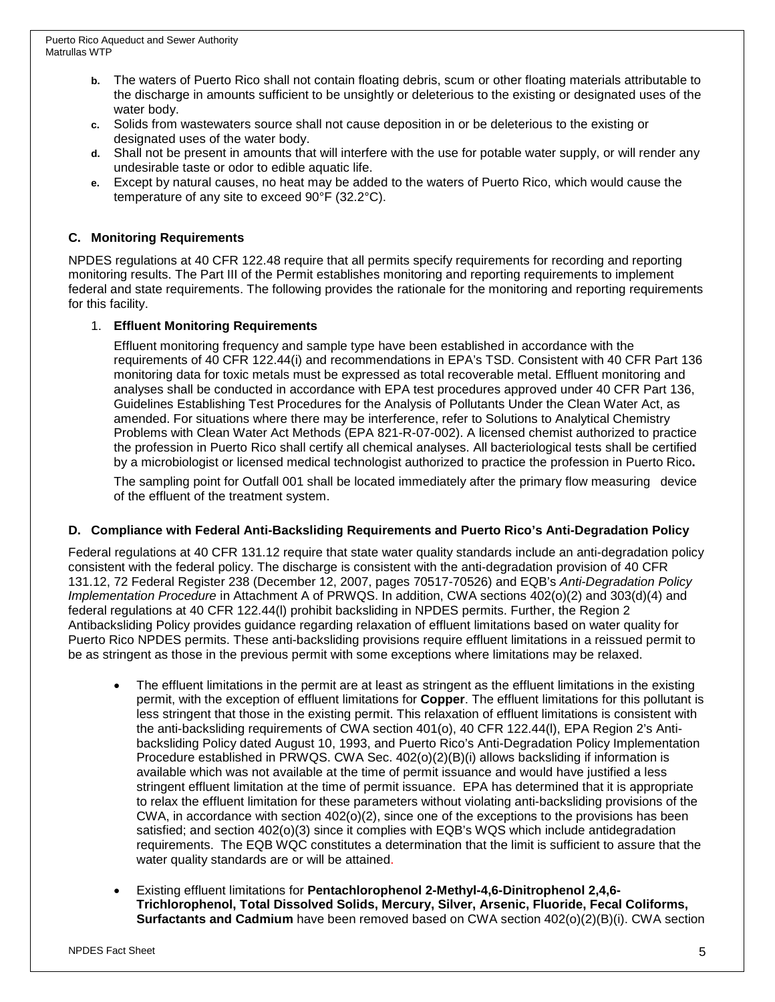- **b.** The waters of Puerto Rico shall not contain floating debris, scum or other floating materials attributable to the discharge in amounts sufficient to be unsightly or deleterious to the existing or designated uses of the water body.
- **c.** Solids from wastewaters source shall not cause deposition in or be deleterious to the existing or designated uses of the water body.
- **d.** Shall not be present in amounts that will interfere with the use for potable water supply, or will render any undesirable taste or odor to edible aquatic life.
- **e.** Except by natural causes, no heat may be added to the waters of Puerto Rico, which would cause the temperature of any site to exceed 90°F (32.2°C).

### **C. Monitoring Requirements**

NPDES regulations at 40 CFR 122.48 require that all permits specify requirements for recording and reporting monitoring results. The Part III of the Permit establishes monitoring and reporting requirements to implement federal and state requirements. The following provides the rationale for the monitoring and reporting requirements for this facility.

#### 1. **Effluent Monitoring Requirements**

Effluent monitoring frequency and sample type have been established in accordance with the requirements of 40 CFR 122.44(i) and recommendations in EPA's TSD. Consistent with 40 CFR Part 136 monitoring data for toxic metals must be expressed as total recoverable metal. Effluent monitoring and analyses shall be conducted in accordance with EPA test procedures approved under 40 CFR Part 136, Guidelines Establishing Test Procedures for the Analysis of Pollutants Under the Clean Water Act, as amended. For situations where there may be interference, refer to Solutions to Analytical Chemistry Problems with Clean Water Act Methods (EPA 821-R-07-002). A licensed chemist authorized to practice the profession in Puerto Rico shall certify all chemical analyses. All bacteriological tests shall be certified by a microbiologist or licensed medical technologist authorized to practice the profession in Puerto Rico**.**

The sampling point for Outfall 001 shall be located immediately after the primary flow measuring device of the effluent of the treatment system.

#### **D. Compliance with Federal Anti-Backsliding Requirements and Puerto Rico's Anti-Degradation Policy**

Federal regulations at 40 CFR 131.12 require that state water quality standards include an anti-degradation policy consistent with the federal policy. The discharge is consistent with the anti-degradation provision of 40 CFR 131.12, 72 Federal Register 238 (December 12, 2007, pages 70517-70526) and EQB's *Anti-Degradation Policy Implementation Procedure* in Attachment A of PRWQS. In addition, CWA sections 402(o)(2) and 303(d)(4) and federal regulations at 40 CFR 122.44(l) prohibit backsliding in NPDES permits. Further, the Region 2 Antibacksliding Policy provides guidance regarding relaxation of effluent limitations based on water quality for Puerto Rico NPDES permits. These anti-backsliding provisions require effluent limitations in a reissued permit to be as stringent as those in the previous permit with some exceptions where limitations may be relaxed.

- The effluent limitations in the permit are at least as stringent as the effluent limitations in the existing permit, with the exception of effluent limitations for **Copper**. The effluent limitations for this pollutant is less stringent that those in the existing permit. This relaxation of effluent limitations is consistent with the anti-backsliding requirements of CWA section 401(o), 40 CFR 122.44(l), EPA Region 2's Antibacksliding Policy dated August 10, 1993, and Puerto Rico's Anti-Degradation Policy Implementation Procedure established in PRWQS. CWA Sec. 402(o)(2)(B)(i) allows backsliding if information is available which was not available at the time of permit issuance and would have justified a less stringent effluent limitation at the time of permit issuance. EPA has determined that it is appropriate to relax the effluent limitation for these parameters without violating anti-backsliding provisions of the CWA, in accordance with section 402(o)(2), since one of the exceptions to the provisions has been satisfied; and section 402(o)(3) since it complies with EQB's WQS which include antidegradation requirements. The EQB WQC constitutes a determination that the limit is sufficient to assure that the water quality standards are or will be attained.
- Existing effluent limitations for **Pentachlorophenol 2-Methyl-4,6-Dinitrophenol 2,4,6- Trichlorophenol, Total Dissolved Solids, Mercury, Silver, Arsenic, Fluoride, Fecal Coliforms, Surfactants and Cadmium** have been removed based on CWA section 402(o)(2)(B)(i). CWA section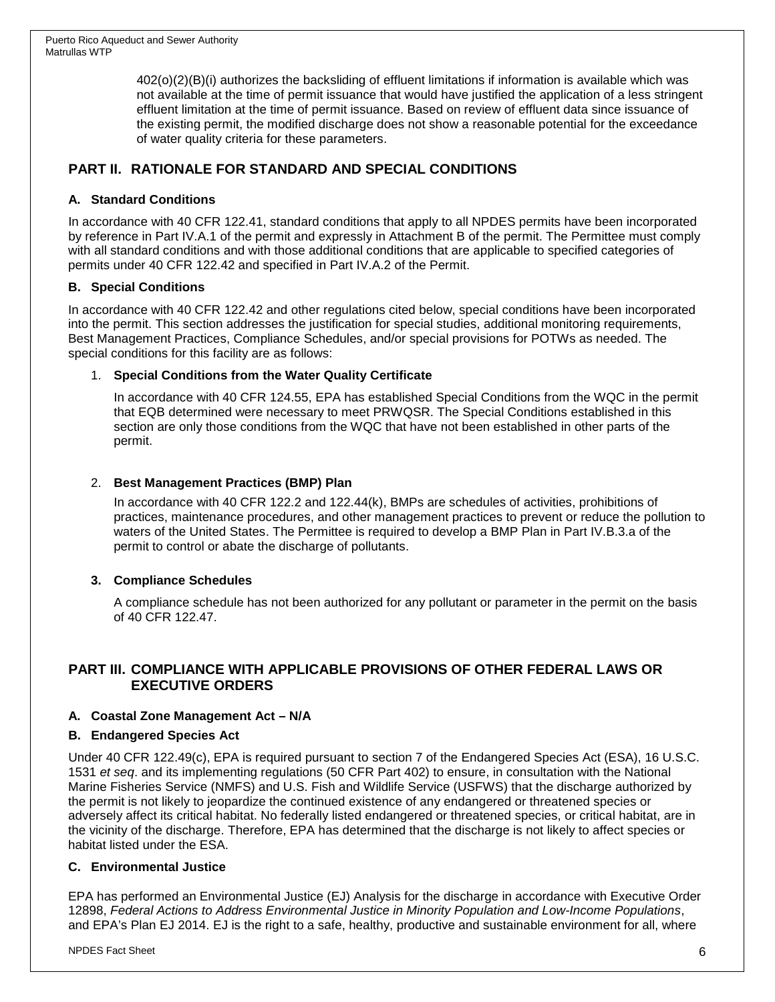402(o)(2)(B)(i) authorizes the backsliding of effluent limitations if information is available which was not available at the time of permit issuance that would have justified the application of a less stringent effluent limitation at the time of permit issuance. Based on review of effluent data since issuance of the existing permit, the modified discharge does not show a reasonable potential for the exceedance of water quality criteria for these parameters.

# **PART II. RATIONALE FOR STANDARD AND SPECIAL CONDITIONS**

### **A. Standard Conditions**

In accordance with 40 CFR 122.41, standard conditions that apply to all NPDES permits have been incorporated by reference in Part IV.A.1 of the permit and expressly in Attachment B of the permit. The Permittee must comply with all standard conditions and with those additional conditions that are applicable to specified categories of permits under 40 CFR 122.42 and specified in Part IV.A.2 of the Permit.

### **B. Special Conditions**

In accordance with 40 CFR 122.42 and other regulations cited below, special conditions have been incorporated into the permit. This section addresses the justification for special studies, additional monitoring requirements, Best Management Practices, Compliance Schedules, and/or special provisions for POTWs as needed. The special conditions for this facility are as follows:

### 1. **Special Conditions from the Water Quality Certificate**

In accordance with 40 CFR 124.55, EPA has established Special Conditions from the WQC in the permit that EQB determined were necessary to meet PRWQSR. The Special Conditions established in this section are only those conditions from the WQC that have not been established in other parts of the permit.

### 2. **Best Management Practices (BMP) Plan**

In accordance with 40 CFR 122.2 and 122.44(k), BMPs are schedules of activities, prohibitions of practices, maintenance procedures, and other management practices to prevent or reduce the pollution to waters of the United States. The Permittee is required to develop a BMP Plan in Part IV.B.3.a of the permit to control or abate the discharge of pollutants.

### **3. Compliance Schedules**

A compliance schedule has not been authorized for any pollutant or parameter in the permit on the basis of 40 CFR 122.47.

## **PART III. COMPLIANCE WITH APPLICABLE PROVISIONS OF OTHER FEDERAL LAWS OR EXECUTIVE ORDERS**

### **A. Coastal Zone Management Act – N/A**

### **B. Endangered Species Act**

Under 40 CFR 122.49(c), EPA is required pursuant to section 7 of the Endangered Species Act (ESA), 16 U.S.C. 1531 *et seq*. and its implementing regulations (50 CFR Part 402) to ensure, in consultation with the National Marine Fisheries Service (NMFS) and U.S. Fish and Wildlife Service (USFWS) that the discharge authorized by the permit is not likely to jeopardize the continued existence of any endangered or threatened species or adversely affect its critical habitat. No federally listed endangered or threatened species, or critical habitat, are in the vicinity of the discharge. Therefore, EPA has determined that the discharge is not likely to affect species or habitat listed under the ESA.

### **C. Environmental Justice**

EPA has performed an Environmental Justice (EJ) Analysis for the discharge in accordance with Executive Order 12898, *Federal Actions to Address Environmental Justice in Minority Population and Low-Income Populations*, and EPA's Plan EJ 2014. EJ is the right to a safe, healthy, productive and sustainable environment for all, where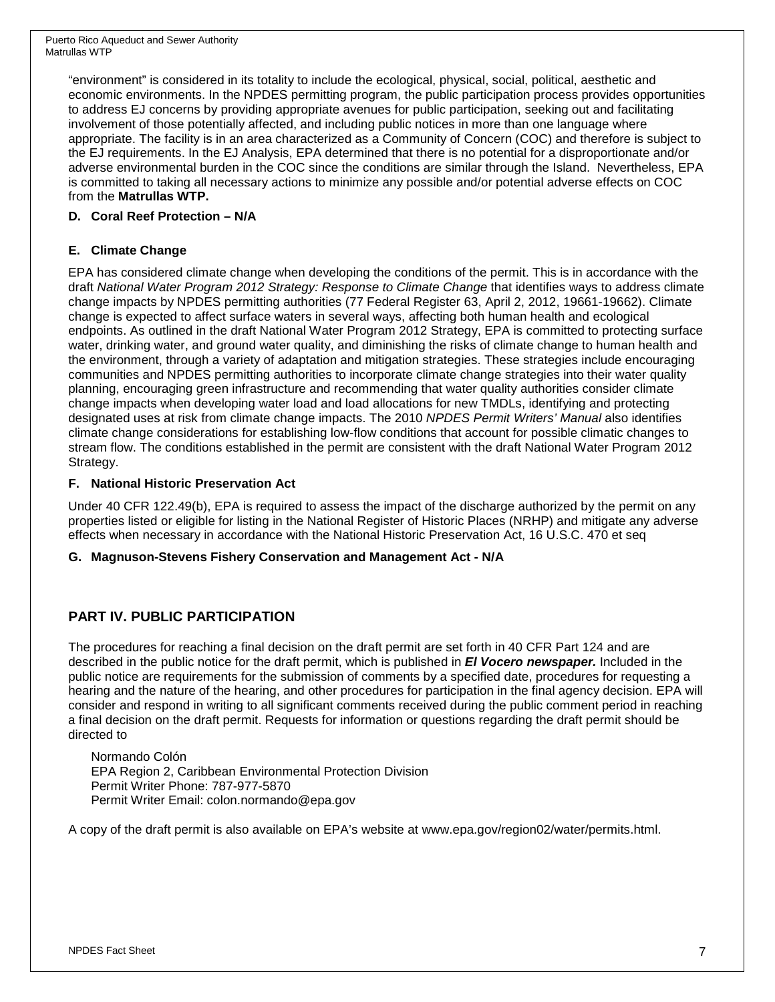"environment" is considered in its totality to include the ecological, physical, social, political, aesthetic and economic environments. In the NPDES permitting program, the public participation process provides opportunities to address EJ concerns by providing appropriate avenues for public participation, seeking out and facilitating involvement of those potentially affected, and including public notices in more than one language where appropriate. The facility is in an area characterized as a Community of Concern (COC) and therefore is subject to the EJ requirements. In the EJ Analysis, EPA determined that there is no potential for a disproportionate and/or adverse environmental burden in the COC since the conditions are similar through the Island. Nevertheless, EPA is committed to taking all necessary actions to minimize any possible and/or potential adverse effects on COC from the **Matrullas WTP.**

### **D. Coral Reef Protection – N/A**

### **E. Climate Change**

EPA has considered climate change when developing the conditions of the permit. This is in accordance with the draft *National Water Program 2012 Strategy: Response to Climate Change* that identifies ways to address climate change impacts by NPDES permitting authorities (77 Federal Register 63, April 2, 2012, 19661-19662). Climate change is expected to affect surface waters in several ways, affecting both human health and ecological endpoints. As outlined in the draft National Water Program 2012 Strategy, EPA is committed to protecting surface water, drinking water, and ground water quality, and diminishing the risks of climate change to human health and the environment, through a variety of adaptation and mitigation strategies. These strategies include encouraging communities and NPDES permitting authorities to incorporate climate change strategies into their water quality planning, encouraging green infrastructure and recommending that water quality authorities consider climate change impacts when developing water load and load allocations for new TMDLs, identifying and protecting designated uses at risk from climate change impacts. The 2010 *NPDES Permit Writers' Manual* also identifies climate change considerations for establishing low-flow conditions that account for possible climatic changes to stream flow. The conditions established in the permit are consistent with the draft National Water Program 2012 Strategy.

### **F. National Historic Preservation Act**

Under 40 CFR 122.49(b), EPA is required to assess the impact of the discharge authorized by the permit on any properties listed or eligible for listing in the National Register of Historic Places (NRHP) and mitigate any adverse effects when necessary in accordance with the National Historic Preservation Act, 16 U.S.C. 470 et seq

### **G. Magnuson-Stevens Fishery Conservation and Management Act - N/A**

# **PART IV. PUBLIC PARTICIPATION**

The procedures for reaching a final decision on the draft permit are set forth in 40 CFR Part 124 and are described in the public notice for the draft permit, which is published in *El Vocero newspaper.* Included in the public notice are requirements for the submission of comments by a specified date, procedures for requesting a hearing and the nature of the hearing, and other procedures for participation in the final agency decision. EPA will consider and respond in writing to all significant comments received during the public comment period in reaching a final decision on the draft permit. Requests for information or questions regarding the draft permit should be directed to

Normando Colón EPA Region 2, Caribbean Environmental Protection Division Permit Writer Phone: 787-977-5870 Permit Writer Email: colon.normando@epa.gov

A copy of the draft permit is also available on EPA's website at www.epa.gov/region02/water/permits.html.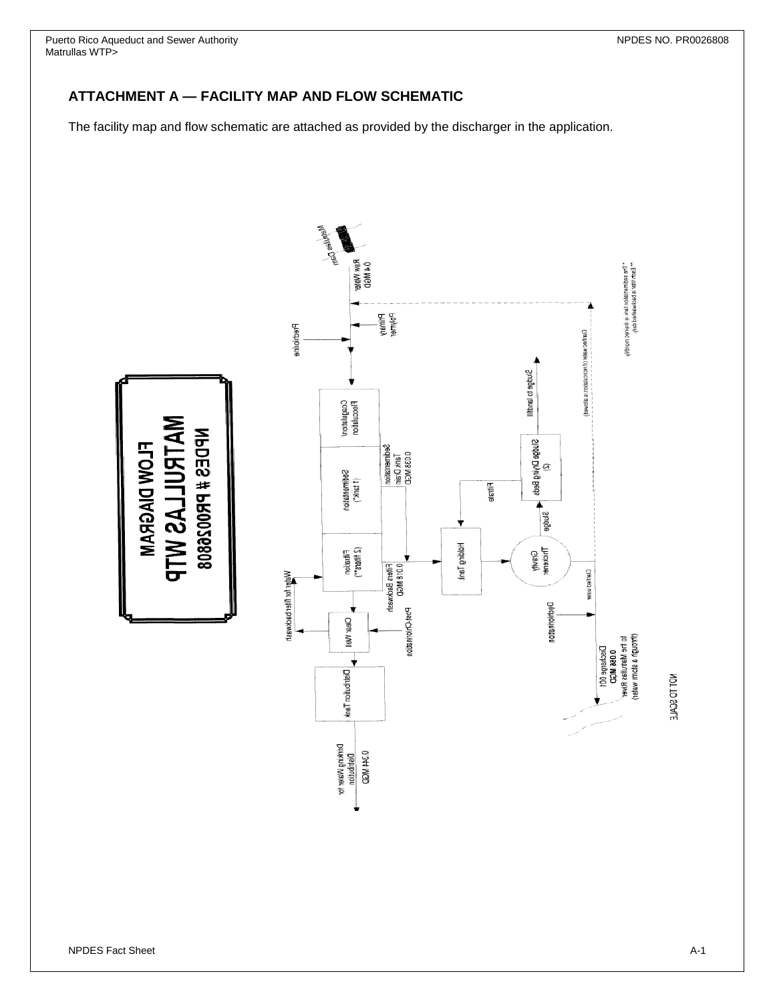Puerto Rico Aqueduct and Sewer Authority NPDES NO. PR0026808 Matrullas WTP>

### **ATTACHMENT A — FACILITY MAP AND FLOW SCHEMATIC**

The facility map and flow schematic are attached as provided by the discharger in the application.